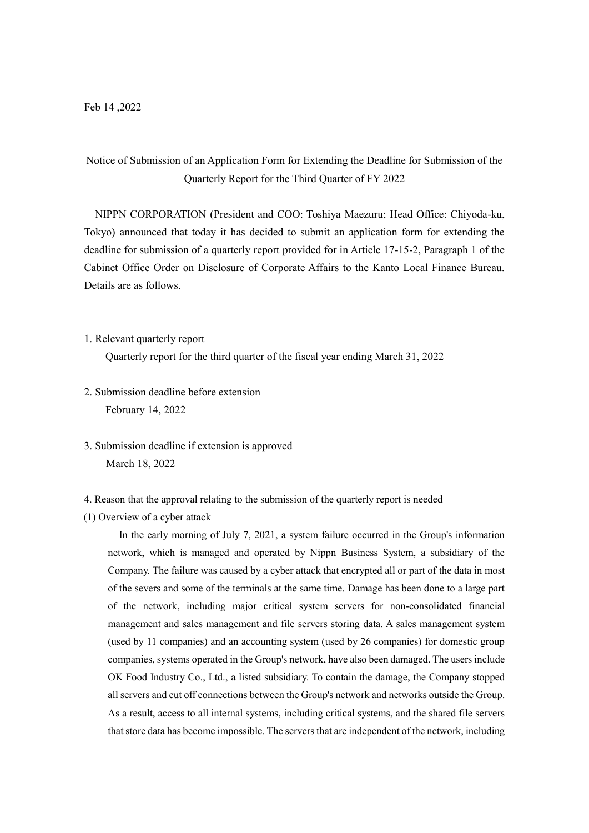# Notice of Submission of an Application Form for Extending the Deadline for Submission of the Quarterly Report for the Third Quarter of FY 2022

NIPPN CORPORATION (President and COO: Toshiya Maezuru; Head Office: Chiyoda-ku, Tokyo) announced that today it has decided to submit an application form for extending the deadline for submission of a quarterly report provided for in Article 17-15-2, Paragraph 1 of the Cabinet Office Order on Disclosure of Corporate Affairs to the Kanto Local Finance Bureau. Details are as follows.

1. Relevant quarterly report

Quarterly report for the third quarter of the fiscal year ending March 31, 2022

- 2. Submission deadline before extension February 14, 2022
- 3. Submission deadline if extension is approved March 18, 2022
- 4. Reason that the approval relating to the submission of the quarterly report is needed
- (1) Overview of a cyber attack

In the early morning of July 7, 2021, a system failure occurred in the Group's information network, which is managed and operated by Nippn Business System, a subsidiary of the Company. The failure was caused by a cyber attack that encrypted all or part of the data in most of the severs and some of the terminals at the same time. Damage has been done to a large part of the network, including major critical system servers for non-consolidated financial management and sales management and file servers storing data. A sales management system (used by 11 companies) and an accounting system (used by 26 companies) for domestic group companies, systems operated in the Group's network, have also been damaged. The users include OK Food Industry Co., Ltd., a listed subsidiary. To contain the damage, the Company stopped all servers and cut off connections between the Group's network and networks outside the Group. As a result, access to all internal systems, including critical systems, and the shared file servers that store data has become impossible. The servers that are independent of the network, including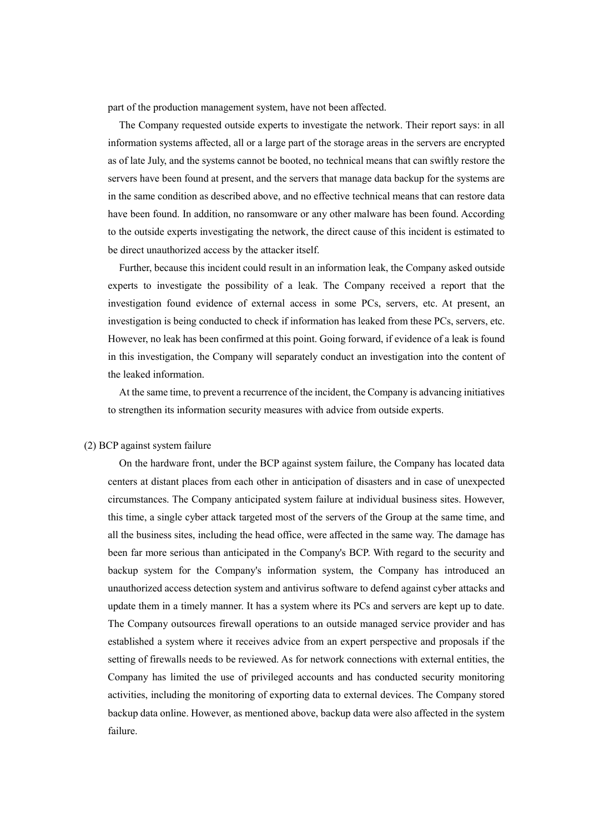part of the production management system, have not been affected.

The Company requested outside experts to investigate the network. Their report says: in all information systems affected, all or a large part of the storage areas in the servers are encrypted as of late July, and the systems cannot be booted, no technical means that can swiftly restore the servers have been found at present, and the servers that manage data backup for the systems are in the same condition as described above, and no effective technical means that can restore data have been found. In addition, no ransomware or any other malware has been found. According to the outside experts investigating the network, the direct cause of this incident is estimated to be direct unauthorized access by the attacker itself.

Further, because this incident could result in an information leak, the Company asked outside experts to investigate the possibility of a leak. The Company received a report that the investigation found evidence of external access in some PCs, servers, etc. At present, an investigation is being conducted to check if information has leaked from these PCs, servers, etc. However, no leak has been confirmed at this point. Going forward, if evidence of a leak is found in this investigation, the Company will separately conduct an investigation into the content of the leaked information.

At the same time, to prevent a recurrence of the incident, the Company is advancing initiatives to strengthen its information security measures with advice from outside experts.

#### (2) BCP against system failure

On the hardware front, under the BCP against system failure, the Company has located data centers at distant places from each other in anticipation of disasters and in case of unexpected circumstances. The Company anticipated system failure at individual business sites. However, this time, a single cyber attack targeted most of the servers of the Group at the same time, and all the business sites, including the head office, were affected in the same way. The damage has been far more serious than anticipated in the Company's BCP. With regard to the security and backup system for the Company's information system, the Company has introduced an unauthorized access detection system and antivirus software to defend against cyber attacks and update them in a timely manner. It has a system where its PCs and servers are kept up to date. The Company outsources firewall operations to an outside managed service provider and has established a system where it receives advice from an expert perspective and proposals if the setting of firewalls needs to be reviewed. As for network connections with external entities, the Company has limited the use of privileged accounts and has conducted security monitoring activities, including the monitoring of exporting data to external devices. The Company stored backup data online. However, as mentioned above, backup data were also affected in the system failure.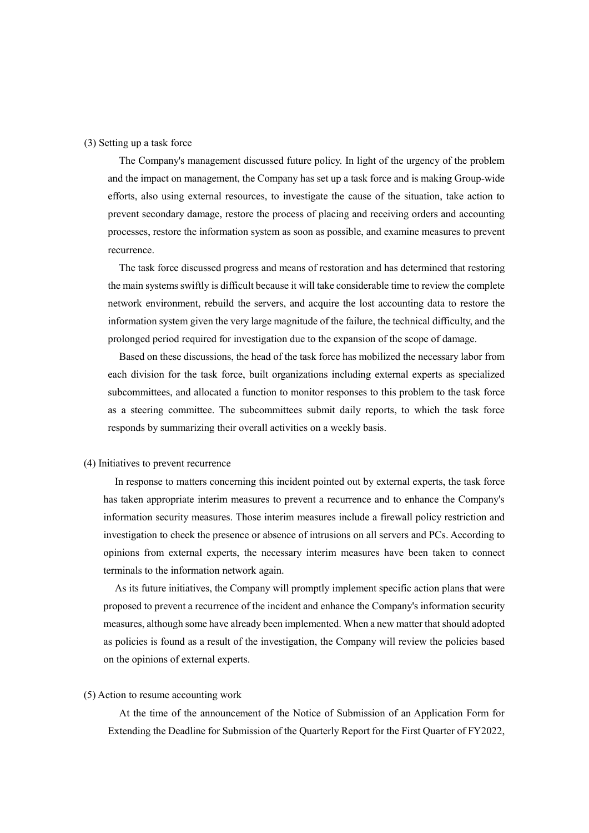## (3) Setting up a task force

The Company's management discussed future policy. In light of the urgency of the problem and the impact on management, the Company has set up a task force and is making Group-wide efforts, also using external resources, to investigate the cause of the situation, take action to prevent secondary damage, restore the process of placing and receiving orders and accounting processes, restore the information system as soon as possible, and examine measures to prevent recurrence.

The task force discussed progress and means of restoration and has determined that restoring the main systems swiftly is difficult because it will take considerable time to review the complete network environment, rebuild the servers, and acquire the lost accounting data to restore the information system given the very large magnitude of the failure, the technical difficulty, and the prolonged period required for investigation due to the expansion of the scope of damage.

Based on these discussions, the head of the task force has mobilized the necessary labor from each division for the task force, built organizations including external experts as specialized subcommittees, and allocated a function to monitor responses to this problem to the task force as a steering committee. The subcommittees submit daily reports, to which the task force responds by summarizing their overall activities on a weekly basis.

## (4) Initiatives to prevent recurrence

In response to matters concerning this incident pointed out by external experts, the task force has taken appropriate interim measures to prevent a recurrence and to enhance the Company's information security measures. Those interim measures include a firewall policy restriction and investigation to check the presence or absence of intrusions on all servers and PCs. According to opinions from external experts, the necessary interim measures have been taken to connect terminals to the information network again.

As its future initiatives, the Company will promptly implement specific action plans that were proposed to prevent a recurrence of the incident and enhance the Company's information security measures, although some have already been implemented. When a new matter that should adopted as policies is found as a result of the investigation, the Company will review the policies based on the opinions of external experts.

#### (5) Action to resume accounting work

At the time of the announcement of the Notice of Submission of an Application Form for Extending the Deadline for Submission of the Quarterly Report for the First Quarter of FY2022,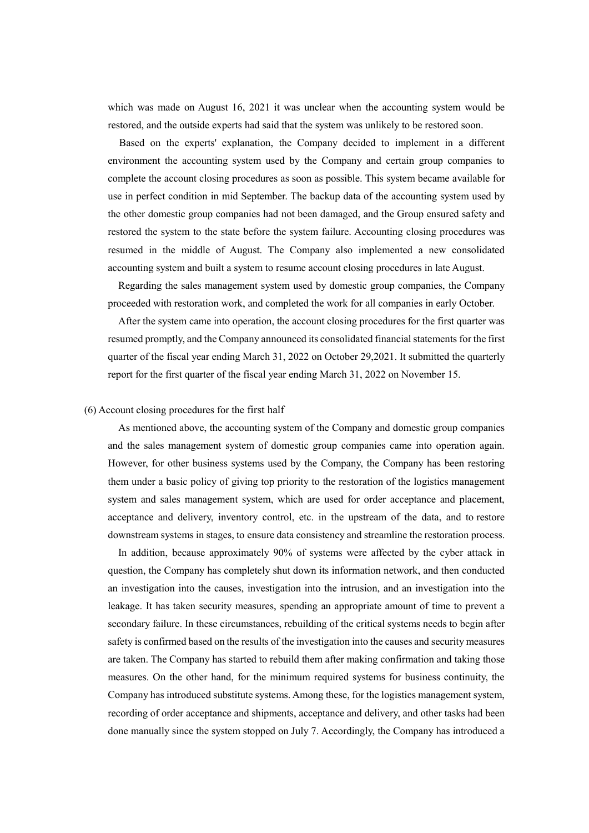which was made on August 16, 2021 it was unclear when the accounting system would be restored, and the outside experts had said that the system was unlikely to be restored soon.

Based on the experts' explanation, the Company decided to implement in a different environment the accounting system used by the Company and certain group companies to complete the account closing procedures as soon as possible. This system became available for use in perfect condition in mid September. The backup data of the accounting system used by the other domestic group companies had not been damaged, and the Group ensured safety and restored the system to the state before the system failure. Accounting closing procedures was resumed in the middle of August. The Company also implemented a new consolidated accounting system and built a system to resume account closing procedures in late August.

Regarding the sales management system used by domestic group companies, the Company proceeded with restoration work, and completed the work for all companies in early October.

After the system came into operation, the account closing procedures for the first quarter was resumed promptly, and the Company announced its consolidated financial statements for the first quarter of the fiscal year ending March 31, 2022 on October 29,2021. It submitted the quarterly report for the first quarter of the fiscal year ending March 31, 2022 on November 15.

## (6) Account closing procedures for the first half

As mentioned above, the accounting system of the Company and domestic group companies and the sales management system of domestic group companies came into operation again. However, for other business systems used by the Company, the Company has been restoring them under a basic policy of giving top priority to the restoration of the logistics management system and sales management system, which are used for order acceptance and placement, acceptance and delivery, inventory control, etc. in the upstream of the data, and to restore downstream systems in stages, to ensure data consistency and streamline the restoration process.

In addition, because approximately 90% of systems were affected by the cyber attack in question, the Company has completely shut down its information network, and then conducted an investigation into the causes, investigation into the intrusion, and an investigation into the leakage. It has taken security measures, spending an appropriate amount of time to prevent a secondary failure. In these circumstances, rebuilding of the critical systems needs to begin after safety is confirmed based on the results of the investigation into the causes and security measures are taken. The Company has started to rebuild them after making confirmation and taking those measures. On the other hand, for the minimum required systems for business continuity, the Company has introduced substitute systems. Among these, for the logistics management system, recording of order acceptance and shipments, acceptance and delivery, and other tasks had been done manually since the system stopped on July 7. Accordingly, the Company has introduced a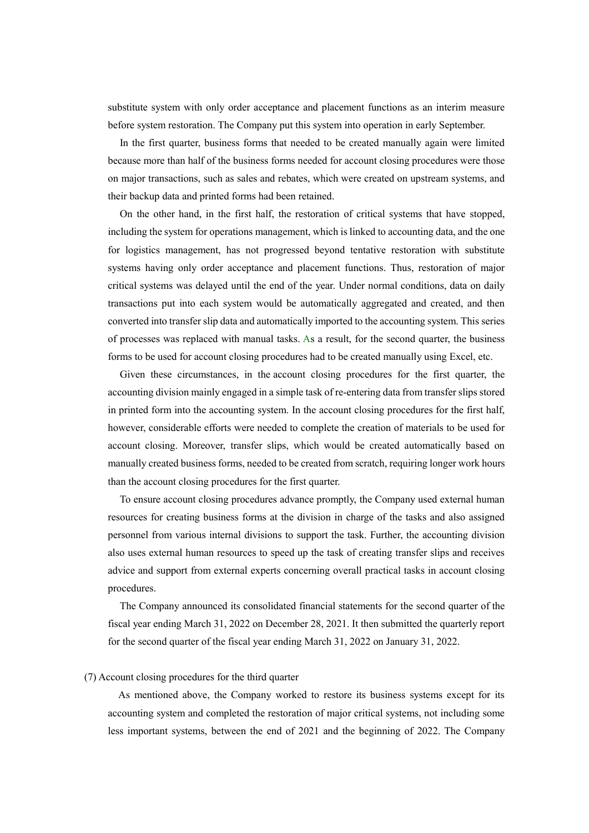substitute system with only order acceptance and placement functions as an interim measure before system restoration. The Company put this system into operation in early September.

In the first quarter, business forms that needed to be created manually again were limited because more than half of the business forms needed for account closing procedures were those on major transactions, such as sales and rebates, which were created on upstream systems, and their backup data and printed forms had been retained.

On the other hand, in the first half, the restoration of critical systems that have stopped, including the system for operations management, which is linked to accounting data, and the one for logistics management, has not progressed beyond tentative restoration with substitute systems having only order acceptance and placement functions. Thus, restoration of major critical systems was delayed until the end of the year. Under normal conditions, data on daily transactions put into each system would be automatically aggregated and created, and then converted into transfer slip data and automatically imported to the accounting system. This series of processes was replaced with manual tasks. As a result, for the second quarter, the business forms to be used for account closing procedures had to be created manually using Excel, etc.

Given these circumstances, in the account closing procedures for the first quarter, the accounting division mainly engaged in a simple task of re-entering data from transfer slips stored in printed form into the accounting system. In the account closing procedures for the first half, however, considerable efforts were needed to complete the creation of materials to be used for account closing. Moreover, transfer slips, which would be created automatically based on manually created business forms, needed to be created from scratch, requiring longer work hours than the account closing procedures for the first quarter.

To ensure account closing procedures advance promptly, the Company used external human resources for creating business forms at the division in charge of the tasks and also assigned personnel from various internal divisions to support the task. Further, the accounting division also uses external human resources to speed up the task of creating transfer slips and receives advice and support from external experts concerning overall practical tasks in account closing procedures.

The Company announced its consolidated financial statements for the second quarter of the fiscal year ending March 31, 2022 on December 28, 2021. It then submitted the quarterly report for the second quarter of the fiscal year ending March 31, 2022 on January 31, 2022.

## (7) Account closing procedures for the third quarter

As mentioned above, the Company worked to restore its business systems except for its accounting system and completed the restoration of major critical systems, not including some less important systems, between the end of 2021 and the beginning of 2022. The Company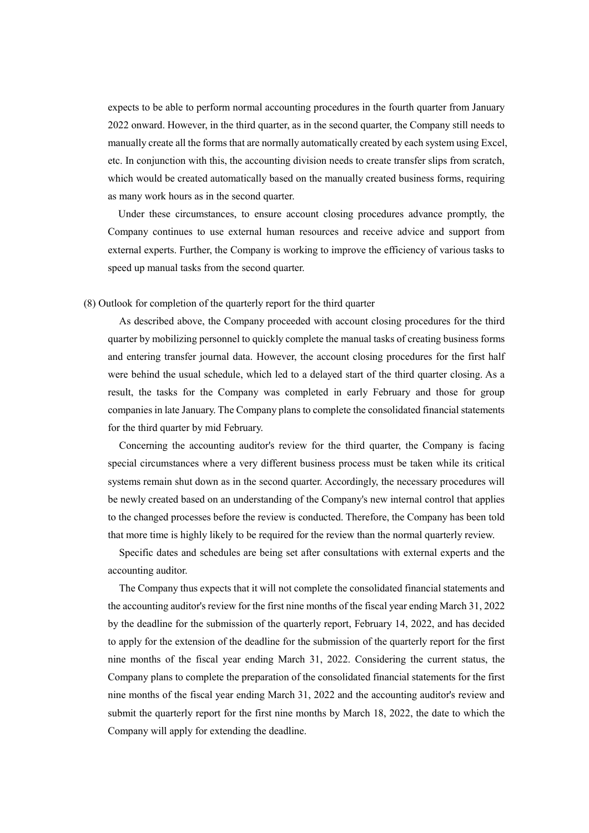expects to be able to perform normal accounting procedures in the fourth quarter from January 2022 onward. However, in the third quarter, as in the second quarter, the Company still needs to manually create all the forms that are normally automatically created by each system using Excel, etc. In conjunction with this, the accounting division needs to create transfer slips from scratch, which would be created automatically based on the manually created business forms, requiring as many work hours as in the second quarter.

Under these circumstances, to ensure account closing procedures advance promptly, the Company continues to use external human resources and receive advice and support from external experts. Further, the Company is working to improve the efficiency of various tasks to speed up manual tasks from the second quarter.

### (8) Outlook for completion of the quarterly report for the third quarter

As described above, the Company proceeded with account closing procedures for the third quarter by mobilizing personnel to quickly complete the manual tasks of creating business forms and entering transfer journal data. However, the account closing procedures for the first half were behind the usual schedule, which led to a delayed start of the third quarter closing. As a result, the tasks for the Company was completed in early February and those for group companies in late January. The Company plans to complete the consolidated financial statements for the third quarter by mid February.

Concerning the accounting auditor's review for the third quarter, the Company is facing special circumstances where a very different business process must be taken while its critical systems remain shut down as in the second quarter. Accordingly, the necessary procedures will be newly created based on an understanding of the Company's new internal control that applies to the changed processes before the review is conducted. Therefore, the Company has been told that more time is highly likely to be required for the review than the normal quarterly review.

Specific dates and schedules are being set after consultations with external experts and the accounting auditor.

The Company thus expects that it will not complete the consolidated financial statements and the accounting auditor's review for the first nine months of the fiscal year ending March 31, 2022 by the deadline for the submission of the quarterly report, February 14, 2022, and has decided to apply for the extension of the deadline for the submission of the quarterly report for the first nine months of the fiscal year ending March 31, 2022. Considering the current status, the Company plans to complete the preparation of the consolidated financial statements for the first nine months of the fiscal year ending March 31, 2022 and the accounting auditor's review and submit the quarterly report for the first nine months by March 18, 2022, the date to which the Company will apply for extending the deadline.